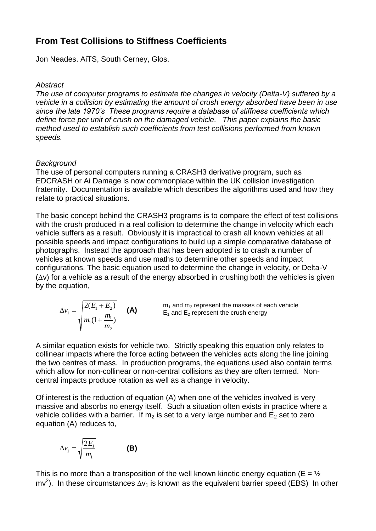# **From Test Collisions to Stiffness Coefficients**

Jon Neades. AiTS, South Cerney, Glos.

# *Abstract*

*The use of computer programs to estimate the changes in velocity (Delta-V) suffered by a vehicle in a collision by estimating the amount of crush energy absorbed have been in use since the late 1970's These programs require a database of stiffness coefficients which define force per unit of crush on the damaged vehicle. This paper explains the basic method used to establish such coefficients from test collisions performed from known speeds.*

# *Background*

The use of personal computers running a CRASH3 derivative program, such as EDCRASH or Ai Damage is now commonplace within the UK collision investigation fraternity. Documentation is available which describes the algorithms used and how they relate to practical situations.

The basic concept behind the CRASH3 programs is to compare the effect of test collisions with the crush produced in a real collision to determine the change in velocity which each vehicle suffers as a result. Obviously it is impractical to crash all known vehicles at all possible speeds and impact configurations to build up a simple comparative database of photographs. Instead the approach that has been adopted is to crash a number of vehicles at known speeds and use maths to determine other speeds and impact configurations. The basic equation used to determine the change in velocity, or Delta-V  $(\Delta v)$  for a vehicle as a result of the energy absorbed in crushing both the vehicles is given by the equation,

$$
\Delta v_1 = \sqrt{\frac{2(E_1 + E_2)}{m_1(1 + \frac{m_1}{m_2})}}
$$
 (A)

 $m_1$  and  $m_2$  represent the masses of each vehicle  $E_1$  and  $E_2$  represent the crush energy

A similar equation exists for vehicle two. Strictly speaking this equation only relates to collinear impacts where the force acting between the vehicles acts along the line joining the two centres of mass. In production programs, the equations used also contain terms which allow for non-collinear or non-central collisions as they are often termed. Noncentral impacts produce rotation as well as a change in velocity.

Of interest is the reduction of equation (A) when one of the vehicles involved is very massive and absorbs no energy itself. Such a situation often exists in practice where a vehicle collides with a barrier. If  $m_2$  is set to a very large number and  $E_2$  set to zero equation (A) reduces to,

$$
\Delta v_1 = \sqrt{\frac{2E_1}{m_1}}
$$
 (B)

This is no more than a transposition of the well known kinetic energy equation ( $E = \frac{1}{2}$ )  $mv^2$ ). In these circumstances  $\Delta v_1$  is known as the equivalent barrier speed (EBS) In other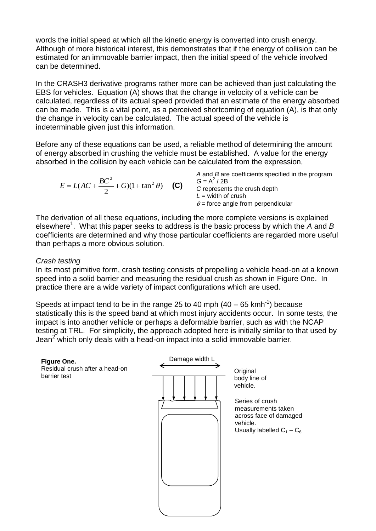words the initial speed at which all the kinetic energy is converted into crush energy. Although of more historical interest, this demonstrates that if the energy of collision can be estimated for an immovable barrier impact, then the initial speed of the vehicle involved can be determined.

In the CRASH3 derivative programs rather more can be achieved than just calculating the EBS for vehicles. Equation (A) shows that the change in velocity of a vehicle can be calculated, regardless of its actual speed provided that an estimate of the energy absorbed can be made. This is a vital point, as a perceived shortcoming of equation (A), is that only the change in velocity can be calculated. The actual speed of the vehicle is indeterminable given just this information.

Before any of these equations can be used, a reliable method of determining the amount of energy absorbed in crushing the vehicle must be established. A value for the energy absorbed in the collision by each vehicle can be calculated from the expression,

$$
E = L(AC + \frac{BC^2}{2} + G)(1 + \tan^2 \theta)
$$
 (C)

*A* and *B* are coefficients specified in the program  $G = A^2 / 2B$ *C* represents the crush depth *L* = width of crush  $\theta$  = force angle from perpendicular

The derivation of all these equations, including the more complete versions is explained elsewhere<sup>1</sup>. What this paper seeks to address is the basic process by which the A and B coefficients are determined and why those particular coefficients are regarded more useful than perhaps a more obvious solution.

## *Crash testing*

In its most primitive form, crash testing consists of propelling a vehicle head-on at a known speed into a solid barrier and measuring the residual crush as shown in Figure One. In practice there are a wide variety of impact configurations which are used.

Speeds at impact tend to be in the range 25 to 40 mph  $(40 - 65 \text{ km/h}^3)$  because statistically this is the speed band at which most injury accidents occur. In some tests, the impact is into another vehicle or perhaps a deformable barrier, such as with the NCAP testing at TRL. For simplicity, the approach adopted here is initially similar to that used by Jean<sup>2</sup> which only deals with a head-on impact into a solid immovable barrier.

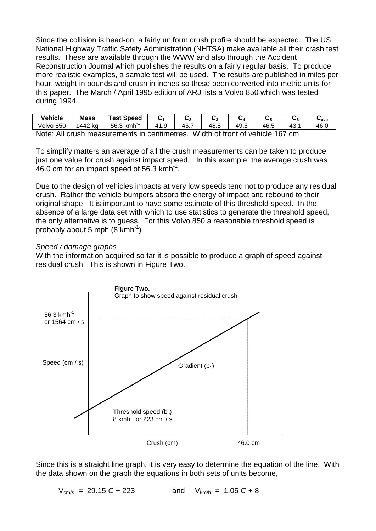Since the collision is head-on, a fairly uniform crush profile should be expected. The US National Highway Traffic Safety Administration (NHTSA) make available all their crash test results. These are available through the WWW and also through the Accident Reconstruction Journal which publishes the results on a fairly regular basis. To produce more realistic examples, a sample test will be used. The results are published in miles per hour, weight in pounds and crush in inches so these been converted into metric units for this paper. The March / April 1995 edition of ARJ lists a Volvo 850 which was tested during 1994.

| Vehicle                                                                       | <b>Mass</b> | Test Speed |  | u٥  |      |      |      | vκ |      |
|-------------------------------------------------------------------------------|-------------|------------|--|-----|------|------|------|----|------|
| Volvo 850                                                                     | 1442 ka     | 56.3 kmh   |  | 45. | 48.8 | 49.5 | 46.5 |    | 46.0 |
| Note: All crush measurements in centimetres. Width of front of vehicle 167 cm |             |            |  |     |      |      |      |    |      |

To simplify matters an average of all the crush measurements can be taken to produce just one value for crush against impact speed. In this example, the average crush was  $46.0$  cm for an impact speed of 56.3 kmh<sup>-1</sup>.

Due to the design of vehicles impacts at very low speeds tend not to produce any residual crush. Rather the vehicle bumpers absorb the energy of impact and rebound to their original shape. It is important to have some estimate of this threshold speed. In the absence of a large data set with which to use statistics to generate the threshold speed, the only alternative is to guess. For this Volvo 850 a reasonable threshold speed is probably about 5 mph  $(8 \text{ km/h}^1)$ 

## *Speed / damage graphs*

With the information acquired so far it is possible to produce a graph of speed against residual crush. This is shown in Figure Two.



Since this is a straight line graph, it is very easy to determine the equation of the line. With the data shown on the graph the equations in both sets of units become,

 $V_{cm/s}$  = 29.15 *C* + 223 and  $V_{km/h}$  = 1.05 *C* + 8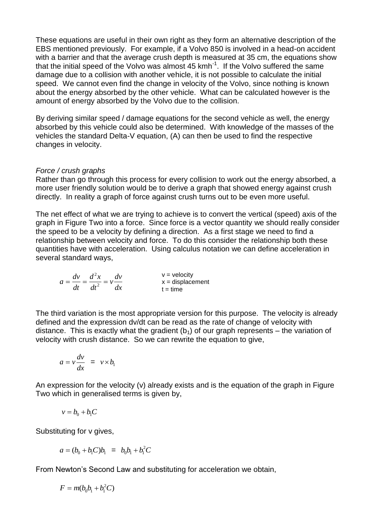These equations are useful in their own right as they form an alternative description of the EBS mentioned previously. For example, if a Volvo 850 is involved in a head-on accident with a barrier and that the average crush depth is measured at 35 cm, the equations show that the initial speed of the Volvo was almost  $45$  kmh<sup>-1</sup>. If the Volvo suffered the same damage due to a collision with another vehicle, it is not possible to calculate the initial speed. We cannot even find the change in velocity of the Volvo, since nothing is known about the energy absorbed by the other vehicle. What can be calculated however is the amount of energy absorbed by the Volvo due to the collision.

By deriving similar speed / damage equations for the second vehicle as well, the energy absorbed by this vehicle could also be determined. With knowledge of the masses of the vehicles the standard Delta-V equation, (A) can then be used to find the respective changes in velocity.

## *Force / crush graphs*

Rather than go through this process for every collision to work out the energy absorbed, a more user friendly solution would be to derive a graph that showed energy against crush directly. In reality a graph of force against crush turns out to be even more useful.

The net effect of what we are trying to achieve is to convert the vertical (speed) axis of the graph in Figure Two into a force. Since force is a vector quantity we should really consider the speed to be a velocity by defining a direction. As a first stage we need to find a relationship between velocity and force. To do this consider the relationship both these quantities have with acceleration. Using calculus notation we can define acceleration in several standard ways,

$$
a = \frac{dv}{dt} = \frac{d^2x}{dt^2} = v\frac{dv}{dx}
$$
  
v = velocity  
x = displacement  
t = time

The third variation is the most appropriate version for this purpose. The velocity is already defined and the expression dv/dt can be read as the rate of change of velocity with distance. This is exactly what the gradient  $(b_1)$  of our graph represents – the variation of velocity with crush distance. So we can rewrite the equation to give,

$$
a = v \frac{dv}{dx} = v \times b_1
$$

An expression for the velocity (v) already exists and is the equation of the graph in Figure Two which in generalised terms is given by,

$$
v = b_0 + b_1 C
$$

Substituting for v gives,

$$
a = (b_0 + b_1 C)b_1 = b_0 b_1 + b_1^2 C
$$

From Newton's Second Law and substituting for acceleration we obtain,

$$
F = m(b_0b_1 + b_1^2C)
$$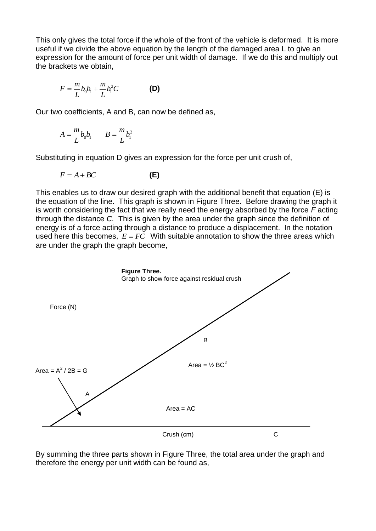This only gives the total force if the whole of the front of the vehicle is deformed. It is more useful if we divide the above equation by the length of the damaged area L to give an expression for the amount of force per unit width of damage. If we do this and multiply out the brackets we obtain,

$$
F = \frac{m}{L}b_0b_1 + \frac{m}{L}b_1^2C
$$
 (D)

Our two coefficients, A and B, can now be defined as,

$$
A = \frac{m}{L} b_0 b_1 \qquad B = \frac{m}{L} b_1^2
$$

Substituting in equation D gives an expression for the force per unit crush of,

$$
F = A + BC
$$
 (E)

This enables us to draw our desired graph with the additional benefit that equation (E) is the equation of the line. This graph is shown in Figure Three. Before drawing the graph it is worth considering the fact that we really need the energy absorbed by the force *F* acting through the distance *C.* This is given by the area under the graph since the definition of energy is of a force acting through a distance to produce a displacement. In the notation used here this becomes,  $E = FC$  With suitable annotation to show the three areas which are under the graph the graph become,



By summing the three parts shown in Figure Three, the total area under the graph and therefore the energy per unit width can be found as,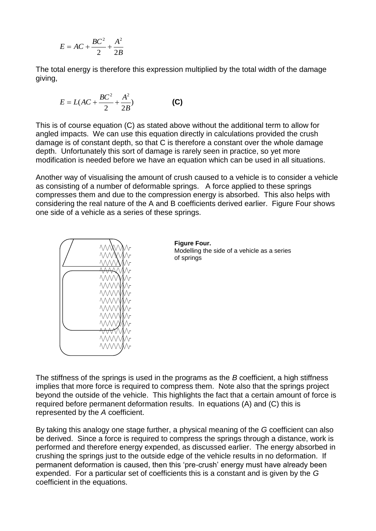$$
E = AC + \frac{BC^2}{2} + \frac{A^2}{2B}
$$

The total energy is therefore this expression multiplied by the total width of the damage giving,

$$
E = L(AC + \frac{BC^2}{2} + \frac{A^2}{2B})
$$
 (C)

This is of course equation (C) as stated above without the additional term to allow for angled impacts. We can use this equation directly in calculations provided the crush damage is of constant depth, so that C is therefore a constant over the whole damage depth. Unfortunately this sort of damage is rarely seen in practice, so yet more modification is needed before we have an equation which can be used in all situations.

Another way of visualising the amount of crush caused to a vehicle is to consider a vehicle as consisting of a number of deformable springs. A force applied to these springs compresses them and due to the compression energy is absorbed. This also helps with considering the real nature of the A and B coefficients derived earlier. Figure Four shows one side of a vehicle as a series of these springs.





The stiffness of the springs is used in the programs as the *B* coefficient, a high stiffness implies that more force is required to compress them. Note also that the springs project beyond the outside of the vehicle. This highlights the fact that a certain amount of force is required before permanent deformation results. In equations (A) and (C) this is represented by the *A* coefficient.

By taking this analogy one stage further, a physical meaning of the *G* coefficient can also be derived. Since a force is required to compress the springs through a distance, work is performed and therefore energy expended, as discussed earlier. The energy absorbed in crushing the springs just to the outside edge of the vehicle results in no deformation. If permanent deformation is caused, then this 'pre-crush' energy must have already been expended. For a particular set of coefficients this is a constant and is given by the *G* coefficient in the equations.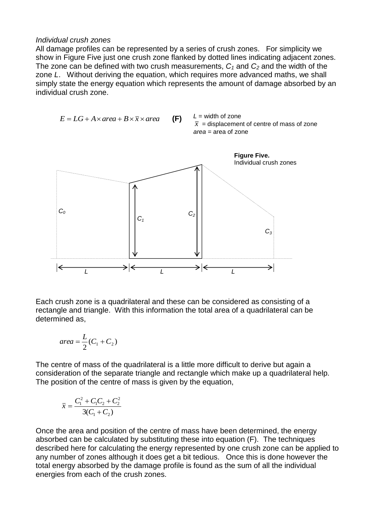#### *Individual crush zones*

All damage profiles can be represented by a series of crush zones. For simplicity we show in Figure Five just one crush zone flanked by dotted lines indicating adjacent zones. The zone can be defined with two crush measurements, *C<sup>1</sup>* and *C<sup>2</sup>* and the width of the zone *L*. Without deriving the equation, which requires more advanced maths, we shall simply state the energy equation which represents the amount of damage absorbed by an individual crush zone.



Each crush zone is a quadrilateral and these can be considered as consisting of a rectangle and triangle. With this information the total area of a quadrilateral can be determined as,

$$
area = \frac{L}{2}(C_1 + C_2)
$$

The centre of mass of the quadrilateral is a little more difficult to derive but again a consideration of the separate triangle and rectangle which make up a quadrilateral help. The position of the centre of mass is given by the equation,

$$
\overline{x} = \frac{C_1^2 + C_1 C_2 + C_2^2}{3(C_1 + C_2)}
$$

Once the area and position of the centre of mass have been determined, the energy absorbed can be calculated by substituting these into equation (F). The techniques described here for calculating the energy represented by one crush zone can be applied to any number of zones although it does get a bit tedious. Once this is done however the total energy absorbed by the damage profile is found as the sum of all the individual energies from each of the crush zones.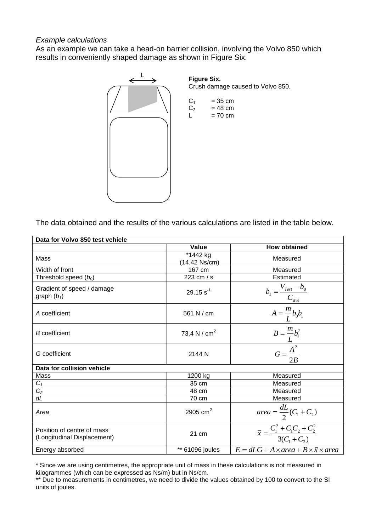## *Example calculations*

As an example we can take a head-on barrier collision, involving the Volvo 850 which results in conveniently shaped damage as shown in Figure Six.



**Figure Six.**

Crush damage caused to Volvo 850.

 $C_1$  = 35 cm<br>  $C_2$  = 48 cm  $C_2$  = 48 cm<br> $I = 70$  cm  $= 70$  cm

The data obtained and the results of the various calculations are listed in the table below.

| Data for Volvo 850 test vehicle                           |                                  |                                                               |  |  |  |  |  |
|-----------------------------------------------------------|----------------------------------|---------------------------------------------------------------|--|--|--|--|--|
|                                                           | Value                            | <b>How obtained</b>                                           |  |  |  |  |  |
| Mass                                                      | $\sqrt{442}$ kg<br>(14.42 Ns/cm) | Measured                                                      |  |  |  |  |  |
| Width of front                                            | 167 cm                           | Measured                                                      |  |  |  |  |  |
| Threshold speed $(b_0)$                                   | 223 cm / s                       | Estimated                                                     |  |  |  |  |  |
| Gradient of speed / damage<br>graph $(b_1)$               | $29.15 s^{-1}$                   | $b_1 = \frac{V_{Test} - b_0}{C_{ave}}$                        |  |  |  |  |  |
| A coefficient                                             | 561 N / cm                       | $A = \frac{m}{L} b_0 b_1$                                     |  |  |  |  |  |
| <b>B</b> coefficient                                      | 73.4 N / $cm2$                   |                                                               |  |  |  |  |  |
| G coefficient                                             | 2144 N                           | $B = \frac{m}{L}b_1^2$<br>$G = \frac{A^2}{2B}$                |  |  |  |  |  |
| Data for collision vehicle                                |                                  |                                                               |  |  |  |  |  |
| Mass                                                      | 1200 kg                          | Measured                                                      |  |  |  |  |  |
| $C_1$                                                     | 35 cm                            | Measured                                                      |  |  |  |  |  |
| C <sub>2</sub>                                            | 48 cm                            | Measured                                                      |  |  |  |  |  |
| dL                                                        | 70 cm                            | Measured                                                      |  |  |  |  |  |
| Area                                                      | 2905 cm <sup>2</sup>             | $area = \frac{dL}{2}(C_1 + C_2)$                              |  |  |  |  |  |
| Position of centre of mass<br>(Longitudinal Displacement) | 21 cm                            | $\overline{x} = \frac{C_1^2 + C_1C_2 + C_2^2}{3(C_1 + C_2)}$  |  |  |  |  |  |
| Energy absorbed                                           | ** 61096 joules                  | $E = dLG + A \times area + B \times \overline{x} \times area$ |  |  |  |  |  |

<sup>\*</sup> Since we are using centimetres, the appropriate unit of mass in these calculations is not measured in kilogrammes (which can be expressed as Ns/m) but in Ns/cm.

<sup>\*\*</sup> Due to measurements in centimetres, we need to divide the values obtained by 100 to convert to the SI units of joules.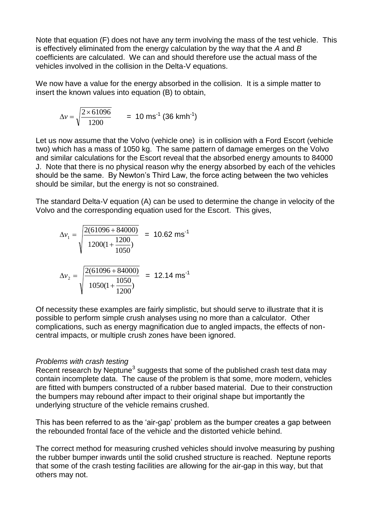Note that equation (F) does not have any term involving the mass of the test vehicle. This is effectively eliminated from the energy calculation by the way that the *A* and *B* coefficients are calculated. We can and should therefore use the actual mass of the vehicles involved in the collision in the Delta-V equations.

We now have a value for the energy absorbed in the collision. It is a simple matter to insert the known values into equation (B) to obtain,

$$
\Delta v = \sqrt{\frac{2 \times 61096}{1200}} = 10 \text{ ms}^{-1} \text{ (36 kmh}^1\text{)}
$$

Let us now assume that the Volvo (vehicle one) is in collision with a Ford Escort (vehicle two) which has a mass of 1050 kg. The same pattern of damage emerges on the Volvo and similar calculations for the Escort reveal that the absorbed energy amounts to 84000 J. Note that there is no physical reason why the energy absorbed by each of the vehicles should be the same. By Newton's Third Law, the force acting between the two vehicles should be similar, but the energy is not so constrained.

The standard Delta-V equation (A) can be used to determine the change in velocity of the Volvo and the corresponding equation used for the Escort. This gives,

$$
\Delta v_1 = \sqrt{\frac{2(61096 + 84000)}{1200(1 + \frac{1200}{1050})}} = 10.62 \text{ ms}^{-1}
$$

$$
\Delta v_2 = \sqrt{\frac{2(61096 + 84000)}{1050(1 + \frac{1050}{1200})}} = 12.14 \text{ ms}^{-1}
$$

Of necessity these examples are fairly simplistic, but should serve to illustrate that it is possible to perform simple crush analyses using no more than a calculator. Other complications, such as energy magnification due to angled impacts, the effects of noncentral impacts, or multiple crush zones have been ignored.

## *Problems with crash testing*

Recent research by Neptune<sup>3</sup> suggests that some of the published crash test data may contain incomplete data. The cause of the problem is that some, more modern, vehicles are fitted with bumpers constructed of a rubber based material. Due to their construction the bumpers may rebound after impact to their original shape but importantly the underlying structure of the vehicle remains crushed.

This has been referred to as the 'air-gap' problem as the bumper creates a gap between the rebounded frontal face of the vehicle and the distorted vehicle behind.

The correct method for measuring crushed vehicles should involve measuring by pushing the rubber bumper inwards until the solid crushed structure is reached. Neptune reports that some of the crash testing facilities are allowing for the air-gap in this way, but that others may not.